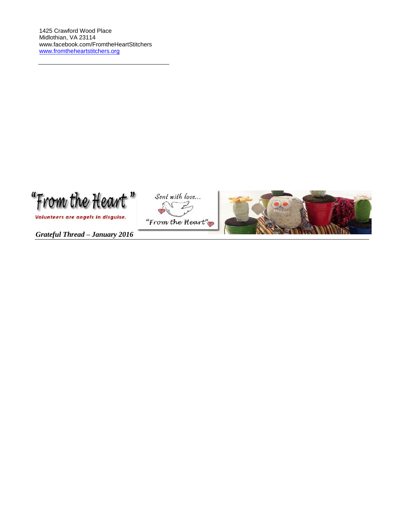"From the Heart"

Volunteers are angels in disguise.

Sent with love... "From the Heart"



*Grateful Thread – January 2016*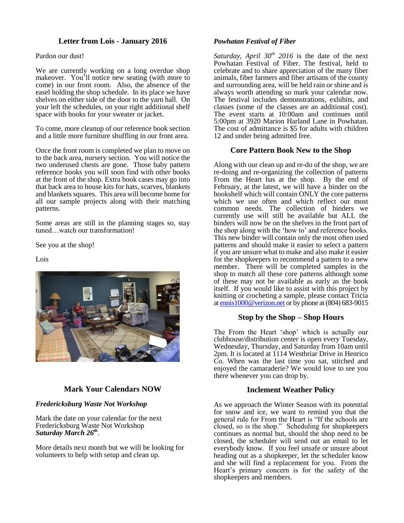# **Letter from Lois - January 2016**

Pardon our dust!

We are currently working on a long overdue shop makeover. You'll notice new seating (with more to come) in our front room. Also, the absence of the easel holding the shop schedule. In its place we have shelves on either side of the door to the yarn hall. On your left the schedules, on your right additional shelf space with hooks for your sweater or jacket.

To come, more cleanup of our reference book section and a little more furniture shuffling in our front area.

Once the front room is completed we plan to move on to the back area, nursery section. You will notice the two underused chests are gone. Those baby pattern reference books you will soon find with other books at the front of the shop. Extra book cases may go into that back area to house kits for hats, scarves, blankets and blankets squares. This area will become home for all our sample projects along with their matching patterns.

Some areas are still in the planning stages so, stay tuned…watch our transformation!

See you at the shop!

Lois



# **Mark Your Calendars NOW**

## *Fredericksburg Waste Not Workshop*

Mark the date on your calendar for the next Fredericksburg Waste Not Workshop *Saturday March 26th .*

More details next month but we will be looking for volunteers to help with setup and clean up.

#### *Powhatan Festival of Fiber*

*Saturday, April 30<sup>th</sup> 2016* is the date of the next Powhatan Festival of Fiber. The festival, held to celebrate and to share appreciation of the many fiber animals, fiber farmers and fiber artisans of the county and surrounding area, will be held rain or shine and is always worth attending so mark your calendar now. The festival includes demonstrations, exhibits, and classes (some of the classes are an additional cost). The event starts at 10:00am and continues until 5:00pm at 3920 Marion Harland Lane in Powhatan. The cost of admittance is \$5 for adults with children 12 and under being admitted free.

# **Core Pattern Book New to the Shop**

Along with our clean up and re-do of the shop, we are re-doing and re-organizing the collection of patterns From the Heart has at the shop. By the end of February, at the latest, we will have a binder on the bookshelf which will contain ONLY the core patterns which we use often and which reflect our most common needs. The collection of binders we currently use will still be available but ALL the binders will now be on the shelves in the front part of the shop along with the 'how to' and reference books. This new binder will contain only the most often used patterns and should make it easier to select a pattern if you are unsure what to make and also make it easier for the shopkeepers to recommend a pattern to a new member. There will be completed samples in the shop to match all these core patterns although some of these may not be available as early as the book itself. If you would like to assist with this project by knitting or crocheting a sample, please contact Tricia a[t ennis1000@verizon.net](mailto:ennis1000@verizon.net) or by phone at (804) 683-9015

## **Stop by the Shop – Shop Hours**

The From the Heart 'shop' which is actually our clubhouse/distribution center is open every Tuesday, Wednesday, Thursday, and Saturday from 10am until 2pm. It is located at 1114 Westbriar Drive in Henrico Co. When was the last time you sat, stitched and enjoyed the camaraderie? We would love to see you there whenever you can drop by.

## **Inclement Weather Policy**

As we approach the Winter Season with its potential for snow and ice, we want to remind you that the general rule for From the Heart is "If the schools are closed, so is the shop." Scheduling for shopkeepers continues as normal but, should the shop need to be closed, the scheduler will send out an email to let everybody know. If you feel unsafe or unsure about heading out as a shopkeeper, let the scheduler know and she will find a replacement for you. From the Heart's primary concern is for the safety of the shopkeepers and members.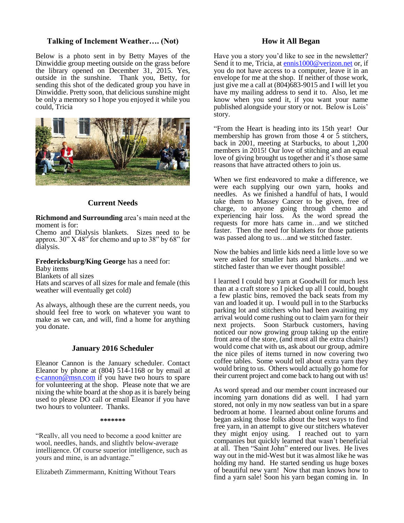# **Talking of Inclement Weather…. (Not)**

Below is a photo sent in by Betty Mayes of the Dinwiddie group meeting outside on the grass before the library opened on December 31, 2015. Yes, outside in the sunshine. Thank you, Betty, for sending this shot of the dedicated group you have in Dinwiddie. Pretty soon, that delicious sunshine might be only a memory so I hope you enjoyed it while you could, Tricia



# **Current Needs**

**Richmond and Surrounding** area's main need at the moment is for:

Chemo and Dialysis blankets. Sizes need to be approx.  $30''$  X 48<sup> $\dot{ }$ </sup> for chemo and up to 38" by 68" for dialysis.

#### **Fredericksburg/King George** has a need for:

Baby items

Blankets of all sizes

Hats and scarves of all sizes for male and female (this weather will eventually get cold)

As always, although these are the current needs, you should feel free to work on whatever you want to make as we can, and will, find a home for anything you donate.

#### **January 2016 Scheduler**

Eleanor Cannon is the January scheduler. Contact Eleanor by phone at (804) 514-1168 or by email at [e-cannon@msn.com](mailto:e-cannon@msn.com) if you have two hours to spare for volunteering at the shop. Please note that we are nixing the white board at the shop as it is barely being used to please DO call or email Eleanor if you have two hours to volunteer. Thanks.

#### **\*\*\*\*\*\*\***

"Really, all you need to become a good knitter are wool, needles, hands, and slightly below-average intelligence. Of course superior intelligence, such as yours and mine, is an advantage."

Elizabeth Zimmermann, Knitting Without Tears

# **How it All Began**

Have you a story you'd like to see in the newsletter? Send it to me, Tricia, a[t ennis1000@verizon.net](mailto:ennis1000@verizon.net) or, if you do not have access to a computer, leave it in an envelope for me at the shop. If neither of those work, just give me a call at (804)683-9015 and I will let you have my mailing address to send it to. Also, let me know when you send it, if you want your name published alongside your story or not. Below is Lois' story.

"From the Heart is heading into its 15th year! Our membership has grown from those 4 or 5 stitchers, back in 2001, meeting at Starbucks, to about 1,200 members in 2015! Our love of stitching and an equal love of giving brought us together and it's those same reasons that have attracted others to join us.

When we first endeavored to make a difference, we were each supplying our own yarn, hooks and needles. As we finished a handful of hats, I would take them to Massey Cancer to be given, free of charge, to anyone going through chemo and experiencing hair loss. As the word spread the requests for more hats came in…and we stitched faster. Then the need for blankets for those patients was passed along to us…and we stitched faster.

Now the babies and little kids need a little love so we were asked for smaller hats and blankets…and we stitched faster than we ever thought possible!

I learned I could buy yarn at Goodwill for much less than at a craft store so I picked up all I could, bought a few plastic bins, removed the back seats from my van and loaded it up. I would pull in to the Starbucks parking lot and stitchers who had been awaiting my arrival would come rushing out to claim yarn for their next projects. Soon Starbuck customers, having noticed our now growing group taking up the entire front area of the store, (and most all the extra chairs!) would come chat with us, ask about our group, admire the nice piles of items turned in now covering two coffee tables. Some would tell about extra yarn they would bring to us. Others would actually go home for their current project and come back to hang out with us!

As word spread and our member count increased our incoming yarn donations did as well. I had yarn stored, not only in my now seatless van but in a spare bedroom at home. I learned about online forums and began asking those folks about the best ways to find free yarn, in an attempt to give our stitchers whatever they might enjoy using. I reached out to yarn companies but quickly learned that wasn't beneficial at all. Then "Saint John" entered our lives. He lives way out in the mid-West but it was almost like he was holding my hand. He started sending us huge boxes of beautiful new yarn! Now that man knows how to find a yarn sale! Soon his yarn began coming in. In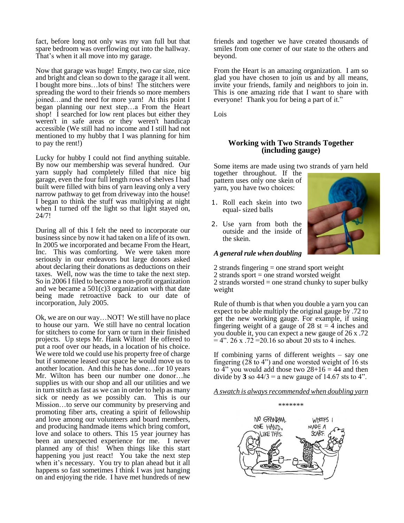fact, before long not only was my van full but that spare bedroom was overflowing out into the hallway. That's when it all move into my garage.

Now that garage was huge! Empty, two car size, nice and bright and clean so down to the garage it all went. I bought more bins…lots of bins! The stitchers were spreading the word to their friends so more members joined…and the need for more yarn! At this point I began planning our next step…a From the Heart shop! I searched for low rent places but either they weren't in safe areas or they weren't handicap accessible (We still had no income and I still had not mentioned to my hubby that I was planning for him to pay the rent!)

Lucky for hubby I could not find anything suitable. By now our membership was several hundred. Our yarn supply had completely filled that nice big garage, even the four full length rows of shelves I had built were filled with bins of yarn leaving only a very narrow pathway to get from driveway into the house! I began to think the stuff was multiplying at night when I turned off the light so that light stayed on, 24/7!

During all of this I felt the need to incorporate our business since by now it had taken on a life of its own. In 2005 we incorporated and became From the Heart, Inc. This was comforting. We were taken more seriously in our endeavors but large donors asked about declaring their donations as deductions on their taxes. Well, now was the time to take the next step. So in 2006 I filed to become a non-profit organization and we became a 501(c)3 organization with that date being made retroactive back to our date of incorporation, July 2005.

Ok, we are on our way…NOT! We still have no place to house our yarn. We still have no central location for stitchers to come for yarn or turn in their finished projects. Up steps Mr. Hank Wilton! He offered to put a roof over our heads, in a location of his choice. We were told we could use his property free of charge but if someone leased our space he would move us to another location. And this he has done…for 10 years Mr. Wilton has been our number one donor…he supplies us with our shop and all our utilities and we in turn stitch as fast as we can in order to help as many sick or needy as we possibly can. This is our Mission…to serve our community by preserving and promoting fiber arts, creating a spirit of fellowship and love among our volunteers and board members, and producing handmade items which bring comfort, love and solace to others. This 15 year journey has been an unexpected experience for me. I never planned any of this! When things like this start happening you just react! You take the next step when it's necessary. You try to plan ahead but it all happens so fast sometimes I think I was just hanging on and enjoying the ride. I have met hundreds of new

friends and together we have created thousands of smiles from one corner of our state to the others and beyond.

From the Heart is an amazing organization. I am so glad you have chosen to join us and by all means, invite your friends, family and neighbors to join in. This is one amazing ride that I want to share with everyone! Thank you for being a part of it."

Lois

## **Working with Two Strands Together (including gauge)**

Some items are made using two strands of yarn held

together throughout. If the pattern uses only one skein of yarn, you have two choices:

- 1. Roll each skein into two equal- sized balls
- 2. Use yarn from both the outside and the inside of the skein.



### *A general rule when doubling*

- 2 strands fingering = one strand sport weight
- 2 strands sport = one strand worsted weight

2 strands worsted  $=$  one strand chunky to super bulky weight

Rule of thumb is that when you double a yarn you can expect to be able multiply the original gauge by .72 to get the new working gauge. For example, if using fingering weight of a gauge of 28 st  $=$  4 inches and you double it, you can expect a new gauge of 26 x .72  $= 4$ ". 26 x .72 = 20.16 so about 20 sts to 4 inches.

If combining yarns of different weights – say one fingering (28 to 4") and one worsted weight of 16 sts to  $4$ " you would add those two  $28+16 = 44$  and then divide by  $3$  so  $44/3$  = a new gauge of 14.67 sts to 4".

*A swatch is always recommended when doubling yarn*



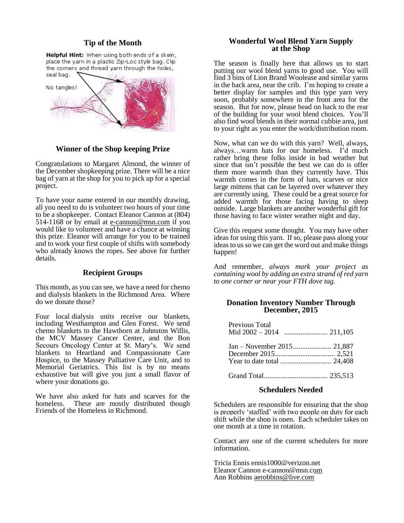#### **Tip of the Month**

Helpful Hint: When using both ends of a skein, place the yarn in a plastic Zip-Loc style bag. Clip the corners and thread yarn through the holes, seal bag.



**Winner of the Shop keeping Prize**

Congratulations to Margaret Almond, the winner of the December shopkeeping prize. There will be a nice bag of yarn at the shop for you to pick up for a special project.

To have your name entered in our monthly drawing, all you need to do is volunteer two hours of your time to be a shopkeeper. Contact Eleanor Cannon at (804) 514-1168 or by email at [e-cannon@msn.com](mailto:e-cannon@msn.com) if you would like to volunteer and have a chance at winning this prize. Eleanor will arrange for you to be trained and to work your first couple of shifts with somebody who already knows the ropes. See above for further details.

## **Recipient Groups**

This month, as you can see, we have a need for chemo and dialysis blankets in the Richmond Area. Where do we donate those?

Four local dialysis units receive our blankets, including Westhampton and Glen Forest. We send chemo blankets to the Hawthorn at Johnston Willis, the MCV Massey Cancer Center, and the Bon Secours Oncology Center at St. Mary's. We send blankets to Heartland and Compassionate Care Hospice, to the Massey Palliative Care Unit, and to Memorial Geriatrics. This list is by no means exhaustive but will give you just a small flavor of where your donations go.

We have also asked for hats and scarves for the homeless. These are mostly distributed though Friends of the Homeless in Richmond.

### **Wonderful Wool Blend Yarn Supply at the Shop**

The season is finally here that allows us to start putting our wool blend yarns to good use. You will find 3 bins of Lion Brand Woolease and similar yarns in the back area, near the crib. I'm hoping to create a better display for samples and this type yarn very soon, probably somewhere in the front area for the season. But for now, please head on back to the rear of the building for your wool blend choices. You'll also find wool blends in their normal cubbie area, just to your right as you enter the work/distribution room.

Now, what can we do with this yarn? Well, always, always…warm hats for our homeless. I'd much rather bring these folks inside in bad weather but since that isn't possible the best we can do is offer them more warmth than they currently have. This warmth comes in the form of hats, scarves or nice large mittens that can be layered over whatever they are currently using. These could be a great source for added warmth for those facing having to sleep outside. Large blankets are another wonderful gift for those having to face winter weather night and day.

Give this request some thought. You may have other ideas for using this yarn. If so, please pass along your ideas to us so we can get the word out and make things happen!

And remember, *always mark your project as containing wool by adding an extra strand of red yarn to one corner or near your FTH dove tag.*

#### **Donation Inventory Number Through December, 2015**

| Previous Total |  |
|----------------|--|
|                |  |

Grand Total................................... 235,513

#### **Schedulers Needed**

Schedulers are responsible for ensuring that the shop is properly 'staffed' with two people on duty for each shift while the shop is open. Each scheduler takes on one month at a time in rotation.

Contact any one of the current schedulers for more information.

Tricia Ennis [ennis1000@verizon.net](mailto:ennis1000@verizon.net) Eleanor Cannon [e-cannon@msn.com](mailto:e-cannon@msn.com) Ann Robbins aerobbins@live.com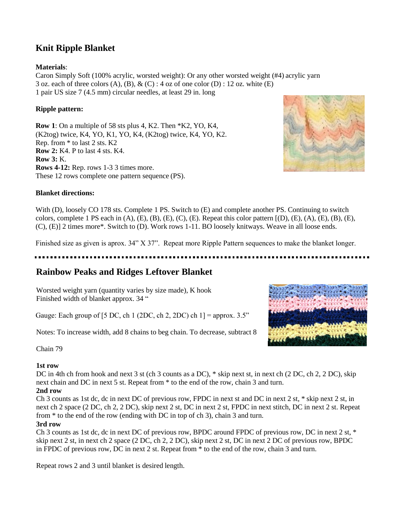# **Knit Ripple Blanket**

# **Materials**:

Caron Simply Soft (100% acrylic, worsted weight): Or any other worsted weight (#4) acrylic yarn 3 oz. each of three colors  $(A)$ ,  $(B)$ ,  $\&$   $(C)$  : 4 oz of one color  $(D)$  : 12 oz. white  $(E)$ 1 pair US size 7 (4.5 mm) circular needles, at least 29 in. long

# **Ripple pattern:**

**Row 1**: On a multiple of 58 sts plus 4, K2. Then \*K2, YO, K4, (K2tog) twice, K4, YO, K1, YO, K4, (K2tog) twice, K4, YO, K2. Rep. from \* to last 2 sts. K2 **Row 2:** K4. P to last 4 sts. K4. **Row 3:** K. **Rows 4-12:** Rep. rows 1-3 3 times more. These 12 rows complete one pattern sequence (PS).



## **Blanket directions:**

With (D), loosely CO 178 sts. Complete 1 PS. Switch to (E) and complete another PS. Continuing to switch colors, complete 1 PS each in  $(A)$ ,  $(E)$ ,  $(B)$ ,  $(E)$ ,  $(C)$ ,  $(E)$ . Repeat this color pattern  $[(D), (E), (A), (E), (B), (E),$ (C), (E)] 2 times more\*. Switch to (D). Work rows 1-11. BO loosely knitways. Weave in all loose ends.

Finished size as given is aprox. 34" X 37". Repeat more Ripple Pattern sequences to make the blanket longer.

# **Rainbow Peaks and Ridges Leftover Blanket**

Worsted weight yarn (quantity varies by size made), K hook Finished width of blanket approx. 34 "

Gauge: Each group of [5 DC, ch 1 (2DC, ch 2, 2DC) ch  $1$ ] = approx. 3.5"

Notes: To increase width, add 8 chains to beg chain. To decrease, subtract 8



Chain 79

# **1st row**

DC in 4th ch from hook and next 3 st (ch 3 counts as a DC),  $*$  skip next st, in next ch (2 DC, ch 2, 2 DC), skip next chain and DC in next 5 st. Repeat from \* to the end of the row, chain 3 and turn.

# **2nd row**

Ch 3 counts as 1st dc, dc in next DC of previous row, FPDC in next st and DC in next 2 st, \* skip next 2 st, in next ch 2 space (2 DC, ch 2, 2 DC), skip next 2 st, DC in next 2 st, FPDC in next stitch, DC in next 2 st. Repeat from \* to the end of the row (ending with DC in top of ch 3), chain 3 and turn.

# **3rd row**

Ch 3 counts as 1st dc, dc in next DC of previous row, BPDC around FPDC of previous row, DC in next 2 st, \* skip next 2 st, in next ch 2 space (2 DC, ch 2, 2 DC), skip next 2 st, DC in next 2 DC of previous row, BPDC in FPDC of previous row, DC in next 2 st. Repeat from \* to the end of the row, chain 3 and turn.

Repeat rows 2 and 3 until blanket is desired length.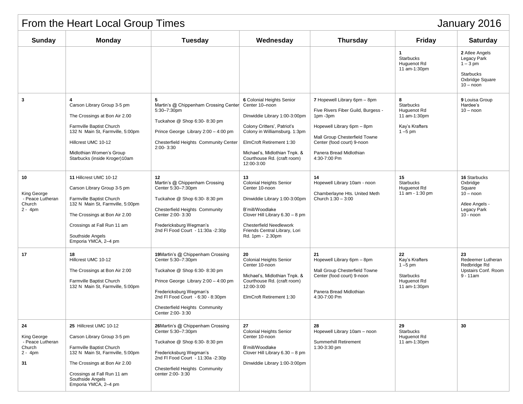| January 2016<br>From the Heart Local Group Times                   |                                                                                                                                                                                                                                   |                                                                                                                                                                                                                                                              |                                                                                                                                                                                                                                                        |                                                                                                                                                                                                                        |                                                                                       |                                                                                                   |  |  |
|--------------------------------------------------------------------|-----------------------------------------------------------------------------------------------------------------------------------------------------------------------------------------------------------------------------------|--------------------------------------------------------------------------------------------------------------------------------------------------------------------------------------------------------------------------------------------------------------|--------------------------------------------------------------------------------------------------------------------------------------------------------------------------------------------------------------------------------------------------------|------------------------------------------------------------------------------------------------------------------------------------------------------------------------------------------------------------------------|---------------------------------------------------------------------------------------|---------------------------------------------------------------------------------------------------|--|--|
| <b>Sunday</b>                                                      | <b>Monday</b>                                                                                                                                                                                                                     | <b>Tuesday</b>                                                                                                                                                                                                                                               | Wednesday                                                                                                                                                                                                                                              | <b>Thursday</b>                                                                                                                                                                                                        | <b>Friday</b>                                                                         | <b>Saturday</b>                                                                                   |  |  |
|                                                                    |                                                                                                                                                                                                                                   |                                                                                                                                                                                                                                                              |                                                                                                                                                                                                                                                        |                                                                                                                                                                                                                        | $\mathbf{1}$<br><b>Starbucks</b><br>Huguenot Rd<br>11 am-1:30pm                       | 2 Atlee Angels<br>Legacy Park<br>$1 - 3$ pm<br><b>Starbucks</b><br>Oxbridge Square<br>$10 -$ noon |  |  |
| 3                                                                  | Carson Library Group 3-5 pm<br>The Crossings at Bon Air 2.00<br>Farmville Baptist Church<br>132 N Main St, Farmville, 5:00pm<br>Hillcrest UMC 10-12<br>Midlothian Women's Group<br>Starbucks (inside Kroger)10am                  | 5<br>Martin's @ Chippenham Crossing Center<br>5:30-7:30pm<br>Tuckahoe @ Shop 6:30-8:30 pm<br>Prince George Library 2:00 - 4:00 pm<br>Chesterfield Heights Community Center<br>$2:00 - 3:30$                                                                  | 6 Colonial Heights Senior<br>Center 10-noon<br>Dinwiddie Library 1:00-3:00pm<br>Colony Critters', Patriot's<br>Colony in Williamsburg. 1:3pm<br>ElmCroft Retirement 1:30<br>Michael's, Midlothian Tnpk. &<br>Courthouse Rd. (craft room)<br>12:00-3:00 | 7 Hopewell Library 6pm - 8pm<br>Five Rivers Fiber Guild, Burgess -<br>1pm -3pm<br>Hopewell Library 6pm - 8pm<br>Mall Group Chesterfield Towne<br>Center (food court) 9-noon<br>Panera Bread Midlothian<br>4:30-7:00 Pm | 8<br><b>Starbucks</b><br>Huguenot Rd<br>11 am-1:30pm<br>Kay's Krafters<br>$1 - 5$ pm  | 9 Louisa Group<br>Hardee's<br>$10 -$ noon                                                         |  |  |
| 10<br>King George<br>- Peace Lutheran<br>Church<br>$2 - 4pm$       | 11 Hillcrest UMC 10-12<br>Carson Library Group 3-5 pm<br>Farmville Baptist Church<br>132 N Main St, Farmville, 5:00pm<br>The Crossings at Bon Air 2.00<br>Crossings at Fall Run 11 am<br>Southside Angels<br>Emporia YMCA, 2-4 pm | 12<br>Martin's @ Chippenham Crossing<br>Center 5:30-7:30pm<br>Tuckahoe @ Shop 6:30-8:30 pm<br><b>Chesterfield Heights Community</b><br>Center 2:00-3:30<br>Fredericksburg Wegman's<br>2nd FI Food Court - 11:30a - 2:30p                                     | 13<br><b>Colonial Heights Senior</b><br>Center 10-noon<br>Dinwiddie Library 1:00-3:00pm<br>B'mill/Woodlake<br>Clover Hill Library 6.30 - 8 pm<br><b>Chesterfield Needlework</b><br>Friends Central Library, Lori<br>Rd. 1pm - 2.30pm                   | 14<br>Hopewell Library 10am - noon<br>Chamberlayne Hts. United Meth<br>Church 1:30 - 3:00                                                                                                                              | 15<br><b>Starbucks</b><br>Huguenot Rd<br>11 am - 1:30 pm                              | 16 Starbucks<br>Oxbridge<br>Square<br>$10 -$ noon<br>Atlee Angels -<br>Legacy Park<br>$10 -$ noon |  |  |
| 17                                                                 | 18<br>Hillcrest UMC 10-12<br>The Crossings at Bon Air 2:00<br>Farmville Baptist Church<br>132 N Main St, Farmville, 5:00pm                                                                                                        | 19 Martin's @ Chippenham Crossing<br>Center 5:30-7:30pm<br>Tuckahoe @ Shop 6:30-8:30 pm<br>Prince George Library 2:00 - 4:00 pm<br>Fredericksburg Wegman's<br>2nd FI Food Court - 6:30 - 8:30pm<br><b>Chesterfield Heights Community</b><br>Center 2:00-3:30 | 20<br><b>Colonial Heights Senior</b><br>Center 10-noon<br>Michael's, Midlothian Tnpk. &<br>Courthouse Rd. (craft room)<br>12:00-3:00<br>ElmCroft Retirement 1:30                                                                                       | 21<br>Hopewell Library 6pm - 8pm<br>Mall Group Chesterfield Towne<br>Center (food court) 9-noon<br>Panera Bread Midlothian<br>4:30-7:00 Pm                                                                             | 22<br>Kay's Krafters<br>$1 - 5$ pm<br><b>Starbucks</b><br>Huguenot Rd<br>11 am-1:30pm | 23<br>Redeemer Lutheran<br>Redbridge Rd<br>Upstairs Conf. Room<br>$9 - 11$ am                     |  |  |
| 24<br>King George<br>- Peace Lutheran<br>Church<br>$2 - 4pm$<br>31 | 25 Hillcrest UMC 10-12<br>Carson Library Group 3-5 pm<br>Farmville Baptist Church<br>132 N Main St, Farmville, 5:00pm<br>The Crossings at Bon Air 2.00<br>Crossings at Fall Run 11 am<br>Southside Angels<br>Emporia YMCA, 2-4 pm | 26 Martin's @ Chippenham Crossing<br>Center 5:30-7:30pm<br>Tuckahoe @ Shop 6:30-8:30 pm<br>Fredericksburg Wegman's<br>2nd FI Food Court - 11:30a - 2:30p<br>Chesterfield Heights Community<br>center 2:00-3:30                                               | 27<br><b>Colonial Heights Senior</b><br>Center 10-noon<br>B'mill/Woodlake<br>Clover Hill Library 6.30 - 8 pm<br>Dinwiddie Library 1:00-3:00pm                                                                                                          | 28<br>Hopewell Library 10am - noon<br>Summerhill Retirement<br>1:30-3:30 pm                                                                                                                                            | 29<br><b>Starbucks</b><br>Huguenot Rd<br>11 am-1:30pm                                 | 30                                                                                                |  |  |